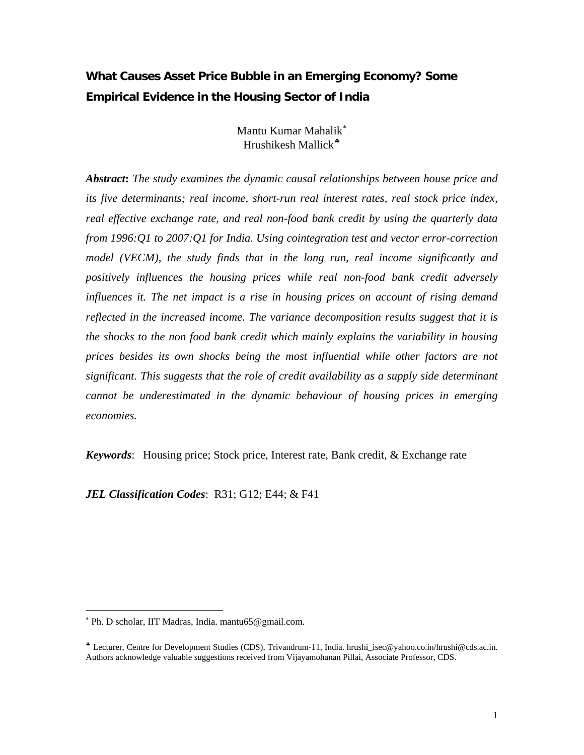# **What Causes Asset Price Bubble in an Emerging Economy? Some Empirical Evidence in the Housing Sector of India**

Mantu Kumar Mahalik[∗](#page-0-0) Hrushikesh Mallick<sup>∗</sup>

*Abstract***:** *The study examines the dynamic causal relationships between house price and its five determinants; real income, short-run real interest rates, real stock price index, real effective exchange rate, and real non-food bank credit by using the quarterly data from 1996:Q1 to 2007:Q1 for India. Using cointegration test and vector error-correction model (VECM), the study finds that in the long run, real income significantly and positively influences the housing prices while real non-food bank credit adversely influences it. The net impact is a rise in housing prices on account of rising demand reflected in the increased income. The variance decomposition results suggest that it is the shocks to the non food bank credit which mainly explains the variability in housing prices besides its own shocks being the most influential while other factors are not significant. This suggests that the role of credit availability as a supply side determinant cannot be underestimated in the dynamic behaviour of housing prices in emerging economies.* 

*Keywords*: Housing price; Stock price, Interest rate, Bank credit, & Exchange rate

*JEL Classification Codes*: R31; G12; E44; & F41

 $\overline{a}$ 

<span id="page-0-0"></span><sup>∗</sup> Ph. D scholar, IIT Madras, India. mantu65@gmail.com.

<span id="page-0-1"></span> $\stackrel{\bullet}{\bullet}$  Lecturer, Centre for Development Studies (CDS), Trivandrum-11, India. hrushi\_isec@yahoo.co.in/hrushi@cds.ac.in. Authors acknowledge valuable suggestions received from Vijayamohanan Pillai, Associate Professor, CDS.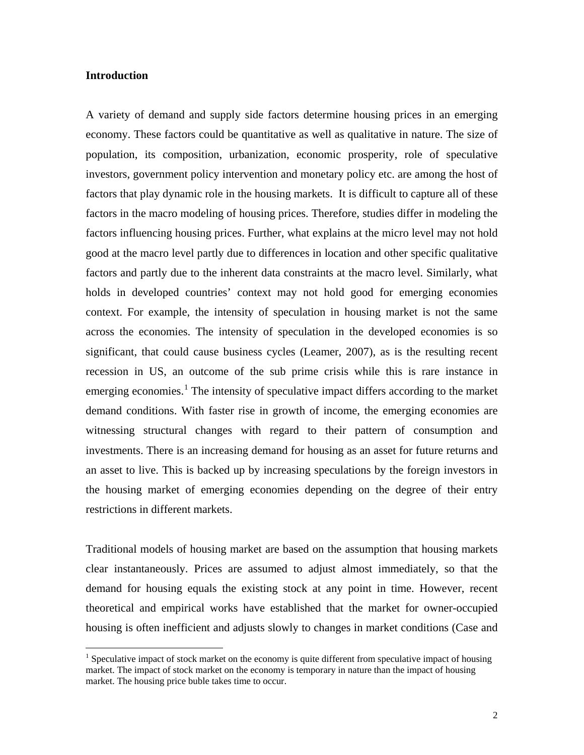#### **Introduction**

 $\overline{a}$ 

A variety of demand and supply side factors determine housing prices in an emerging economy. These factors could be quantitative as well as qualitative in nature. The size of population, its composition, urbanization, economic prosperity, role of speculative investors, government policy intervention and monetary policy etc. are among the host of factors that play dynamic role in the housing markets. It is difficult to capture all of these factors in the macro modeling of housing prices. Therefore, studies differ in modeling the factors influencing housing prices. Further, what explains at the micro level may not hold good at the macro level partly due to differences in location and other specific qualitative factors and partly due to the inherent data constraints at the macro level. Similarly, what holds in developed countries' context may not hold good for emerging economies context. For example, the intensity of speculation in housing market is not the same across the economies. The intensity of speculation in the developed economies is so significant, that could cause business cycles (Leamer, 2007), as is the resulting recent recession in US, an outcome of the sub prime crisis while this is rare instance in emerging economies.<sup>[1](#page-1-0)</sup> The intensity of speculative impact differs according to the market demand conditions. With faster rise in growth of income, the emerging economies are witnessing structural changes with regard to their pattern of consumption and investments. There is an increasing demand for housing as an asset for future returns and an asset to live. This is backed up by increasing speculations by the foreign investors in the housing market of emerging economies depending on the degree of their entry restrictions in different markets.

Traditional models of housing market are based on the assumption that housing markets clear instantaneously. Prices are assumed to adjust almost immediately, so that the demand for housing equals the existing stock at any point in time. However, recent theoretical and empirical works have established that the market for owner-occupied housing is often inefficient and adjusts slowly to changes in market conditions (Case and

<span id="page-1-0"></span><sup>&</sup>lt;sup>1</sup> Speculative impact of stock market on the economy is quite different from speculative impact of housing market. The impact of stock market on the economy is temporary in nature than the impact of housing market. The housing price buble takes time to occur.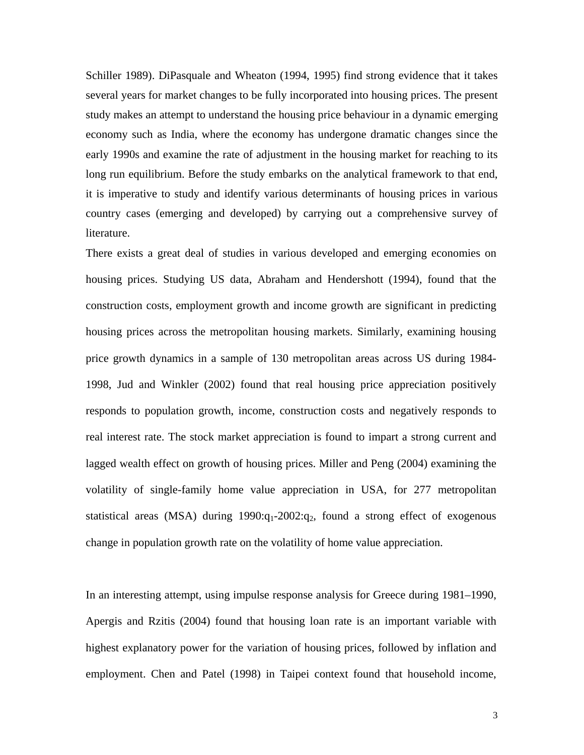Schiller 1989). DiPasquale and Wheaton (1994, 1995) find strong evidence that it takes several years for market changes to be fully incorporated into housing prices. The present study makes an attempt to understand the housing price behaviour in a dynamic emerging economy such as India, where the economy has undergone dramatic changes since the early 1990s and examine the rate of adjustment in the housing market for reaching to its long run equilibrium. Before the study embarks on the analytical framework to that end, it is imperative to study and identify various determinants of housing prices in various country cases (emerging and developed) by carrying out a comprehensive survey of literature.

There exists a great deal of studies in various developed and emerging economies on housing prices. Studying US data, Abraham and Hendershott (1994), found that the construction costs, employment growth and income growth are significant in predicting housing prices across the metropolitan housing markets. Similarly, examining housing price growth dynamics in a sample of 130 metropolitan areas across US during 1984- 1998, Jud and Winkler (2002) found that real housing price appreciation positively responds to population growth, income, construction costs and negatively responds to real interest rate. The stock market appreciation is found to impart a strong current and lagged wealth effect on growth of housing prices. Miller and Peng (2004) examining the volatility of single-family home value appreciation in USA, for 277 metropolitan statistical areas (MSA) during  $1990:q_1-2002:q_2$ , found a strong effect of exogenous change in population growth rate on the volatility of home value appreciation.

In an interesting attempt, using impulse response analysis for Greece during 1981–1990, Apergis and Rzitis (2004) found that housing loan rate is an important variable with highest explanatory power for the variation of housing prices, followed by inflation and employment. Chen and Patel (1998) in Taipei context found that household income,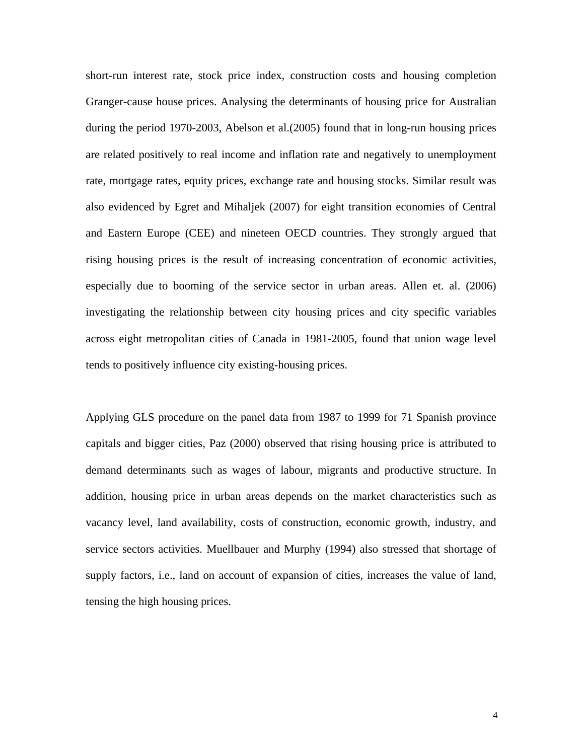short-run interest rate, stock price index, construction costs and housing completion Granger-cause house prices. Analysing the determinants of housing price for Australian during the period 1970-2003, Abelson et al.(2005) found that in long-run housing prices are related positively to real income and inflation rate and negatively to unemployment rate, mortgage rates, equity prices, exchange rate and housing stocks. Similar result was also evidenced by Egret and Mihaljek (2007) for eight transition economies of Central and Eastern Europe (CEE) and nineteen OECD countries. They strongly argued that rising housing prices is the result of increasing concentration of economic activities, especially due to booming of the service sector in urban areas. Allen et. al. (2006) investigating the relationship between city housing prices and city specific variables across eight metropolitan cities of Canada in 1981-2005, found that union wage level tends to positively influence city existing-housing prices.

Applying GLS procedure on the panel data from 1987 to 1999 for 71 Spanish province capitals and bigger cities, Paz (2000) observed that rising housing price is attributed to demand determinants such as wages of labour, migrants and productive structure. In addition, housing price in urban areas depends on the market characteristics such as vacancy level, land availability, costs of construction, economic growth, industry, and service sectors activities. Muellbauer and Murphy (1994) also stressed that shortage of supply factors, i.e., land on account of expansion of cities, increases the value of land, tensing the high housing prices.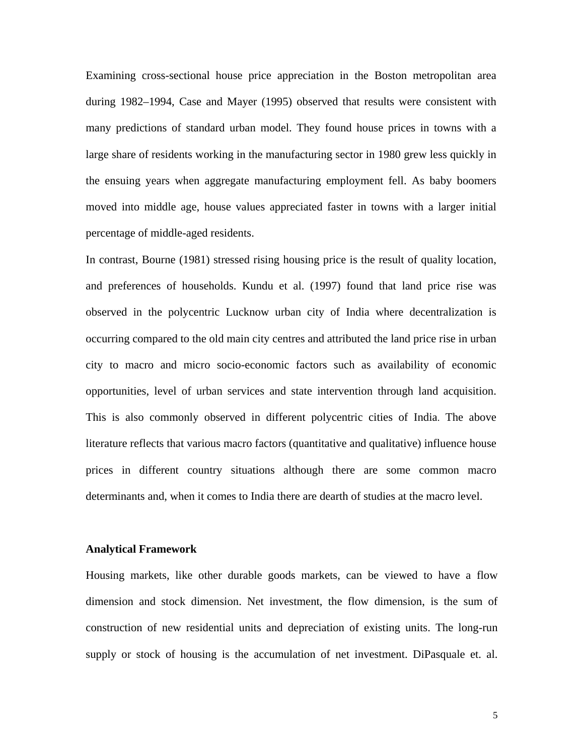Examining cross-sectional house price appreciation in the Boston metropolitan area during 1982–1994, Case and Mayer (1995) observed that results were consistent with many predictions of standard urban model. They found house prices in towns with a large share of residents working in the manufacturing sector in 1980 grew less quickly in the ensuing years when aggregate manufacturing employment fell. As baby boomers moved into middle age, house values appreciated faster in towns with a larger initial percentage of middle-aged residents.

In contrast, Bourne (1981) stressed rising housing price is the result of quality location, and preferences of households. Kundu et al. (1997) found that land price rise was observed in the polycentric Lucknow urban city of India where decentralization is occurring compared to the old main city centres and attributed the land price rise in urban city to macro and micro socio-economic factors such as availability of economic opportunities, level of urban services and state intervention through land acquisition. This is also commonly observed in different polycentric cities of India. The above literature reflects that various macro factors (quantitative and qualitative) influence house prices in different country situations although there are some common macro determinants and, when it comes to India there are dearth of studies at the macro level.

#### **Analytical Framework**

Housing markets, like other durable goods markets, can be viewed to have a flow dimension and stock dimension. Net investment, the flow dimension, is the sum of construction of new residential units and depreciation of existing units. The long-run supply or stock of housing is the accumulation of net investment. DiPasquale et. al.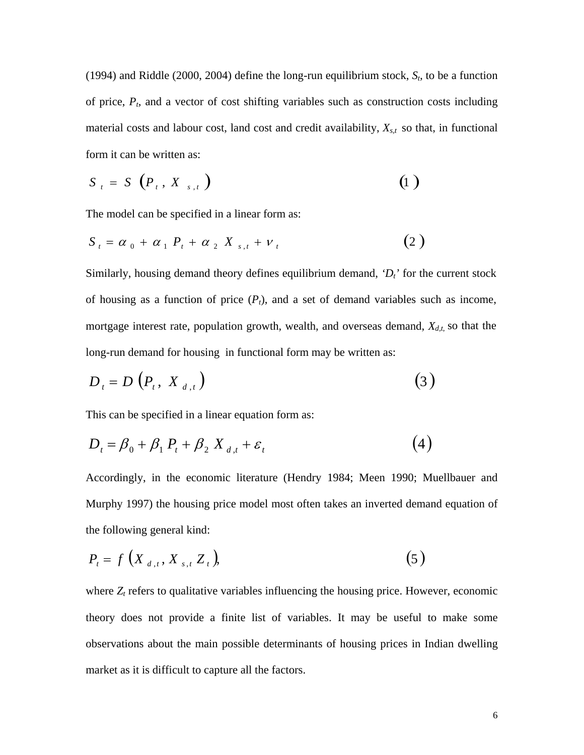(1994) and Riddle (2000, 2004) define the long-run equilibrium stock,  $S_t$ , to be a function of price,  $P_t$ , and a vector of cost shifting variables such as construction costs including material costs and labour cost, land cost and credit availability,  $X_{s,t}$  so that, in functional form it can be written as:

$$
S_{t} = S\left(P_{t}, X_{s,t}\right) \tag{1}
$$

The model can be specified in a linear form as:

$$
S_t = \alpha_0 + \alpha_1 P_t + \alpha_2 X_{s,t} + \nu_t
$$
 (2)

Similarly, housing demand theory defines equilibrium demand,  $D_t$ <sup> $\prime$ </sup> for the current stock of housing as a function of price  $(P_t)$ , and a set of demand variables such as income, mortgage interest rate, population growth, wealth, and overseas demand,  $X_{d,t}$ , so that the long-run demand for housing in functional form may be written as:

$$
D_t = D\left(P_t, X_{d,t}\right) \tag{3}
$$

This can be specified in a linear equation form as:

$$
D_t = \beta_0 + \beta_1 P_t + \beta_2 X_{d,t} + \varepsilon_t \tag{4}
$$

Accordingly, in the economic literature (Hendry 1984; Meen 1990; Muellbauer and Murphy 1997) the housing price model most often takes an inverted demand equation of the following general kind:

$$
P_{t} = f\left(X_{d,t}, X_{s,t} Z_{t}\right),\tag{5}
$$

where  $Z_t$  refers to qualitative variables influencing the housing price. However, economic theory does not provide a finite list of variables. It may be useful to make some observations about the main possible determinants of housing prices in Indian dwelling market as it is difficult to capture all the factors.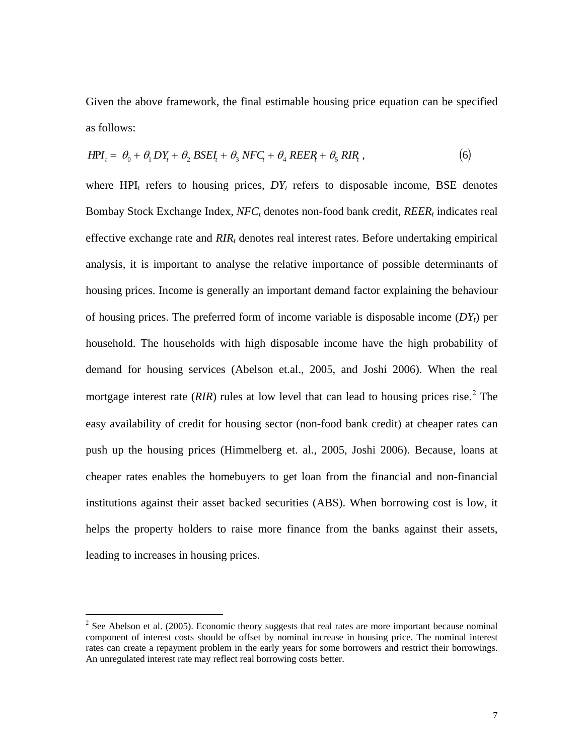Given the above framework, the final estimable housing price equation can be specified as follows:

$$
HPI_t = \theta_0 + \theta_1 DY_t + \theta_2 BSEL_t + \theta_3 NFC_t + \theta_4 REER_t + \theta_5 RIR_t, \qquad (6)
$$

where  $HPI_t$  refers to housing prices,  $DY_t$  refers to disposable income, BSE denotes Bombay Stock Exchange Index, *NFC<sub>t</sub>* denotes non-food bank credit, *REER<sub>t</sub>* indicates real effective exchange rate and  $RIR_t$  denotes real interest rates. Before undertaking empirical analysis, it is important to analyse the relative importance of possible determinants of housing prices. Income is generally an important demand factor explaining the behaviour of housing prices. The preferred form of income variable is disposable income  $(DY_t)$  per household. The households with high disposable income have the high probability of demand for housing services (Abelson et.al., 2005, and Joshi 2006). When the real mortgage interest rate  $(RIR)$  rules at low level that can lead to housing prices rise.<sup>[2](#page-6-0)</sup> The easy availability of credit for housing sector (non-food bank credit) at cheaper rates can push up the housing prices (Himmelberg et. al., 2005, Joshi 2006). Because, loans at cheaper rates enables the homebuyers to get loan from the financial and non-financial institutions against their asset backed securities (ABS). When borrowing cost is low, it helps the property holders to raise more finance from the banks against their assets, leading to increases in housing prices.

1

<span id="page-6-0"></span> $2^{2}$  See Abelson et al. (2005). Economic theory suggests that real rates are more important because nominal component of interest costs should be offset by nominal increase in housing price. The nominal interest rates can create a repayment problem in the early years for some borrowers and restrict their borrowings. An unregulated interest rate may reflect real borrowing costs better.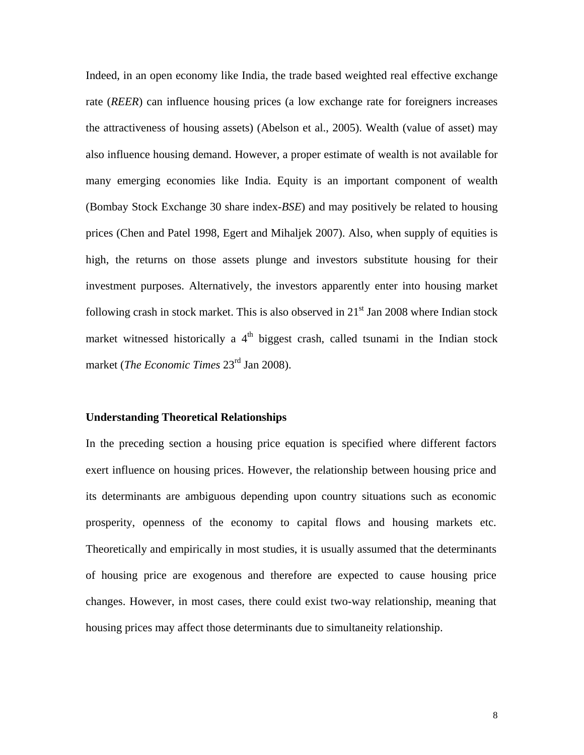Indeed, in an open economy like India, the trade based weighted real effective exchange rate (*REER*) can influence housing prices (a low exchange rate for foreigners increases the attractiveness of housing assets) (Abelson et al., 2005). Wealth (value of asset) may also influence housing demand. However, a proper estimate of wealth is not available for many emerging economies like India. Equity is an important component of wealth (Bombay Stock Exchange 30 share index-*BSE*) and may positively be related to housing prices (Chen and Patel 1998, Egert and Mihaljek 2007). Also, when supply of equities is high, the returns on those assets plunge and investors substitute housing for their investment purposes. Alternatively, the investors apparently enter into housing market following crash in stock market. This is also observed in  $21<sup>st</sup>$  Jan 2008 where Indian stock market witnessed historically a  $4<sup>th</sup>$  biggest crash, called tsunami in the Indian stock market (*The Economic Times* 23rd Jan 2008).

#### **Understanding Theoretical Relationships**

In the preceding section a housing price equation is specified where different factors exert influence on housing prices. However, the relationship between housing price and its determinants are ambiguous depending upon country situations such as economic prosperity, openness of the economy to capital flows and housing markets etc. Theoretically and empirically in most studies, it is usually assumed that the determinants of housing price are exogenous and therefore are expected to cause housing price changes. However, in most cases, there could exist two-way relationship, meaning that housing prices may affect those determinants due to simultaneity relationship.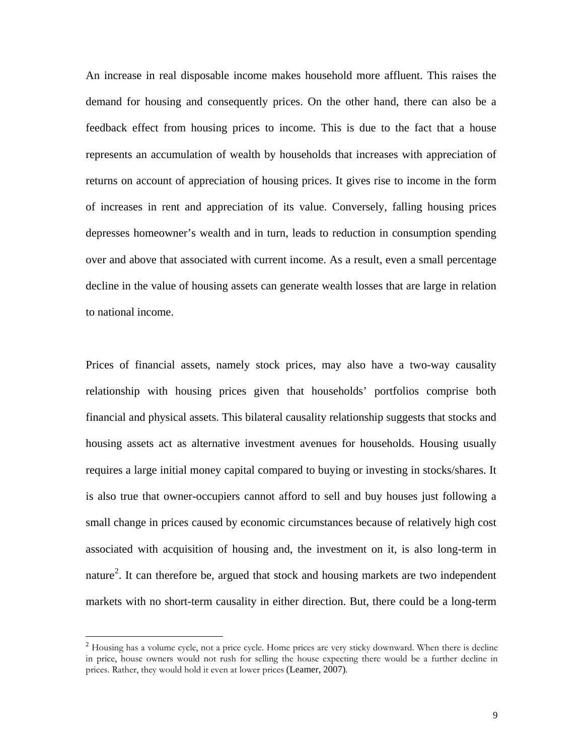An increase in real disposable income makes household more affluent. This raises the demand for housing and consequently prices. On the other hand, there can also be a feedback effect from housing prices to income. This is due to the fact that a house represents an accumulation of wealth by households that increases with appreciation of returns on account of appreciation of housing prices. It gives rise to income in the form of increases in rent and appreciation of its value. Conversely, falling housing prices depresses homeowner's wealth and in turn, leads to reduction in consumption spending over and above that associated with current income. As a result, even a small percentage decline in the value of housing assets can generate wealth losses that are large in relation to national income.

Prices of financial assets, namely stock prices, may also have a two-way causality relationship with housing prices given that households' portfolios comprise both financial and physical assets. This bilateral causality relationship suggests that stocks and housing assets act as alternative investment avenues for households. Housing usually requires a large initial money capital compared to buying or investing in stocks/shares. It is also true that owner-occupiers cannot afford to sell and buy houses just following a small change in prices caused by economic circumstances because of relatively high cost associated with acquisition of housing and, the investment on it, is also long-term in nature<sup>[2](#page-8-0)</sup>. It can therefore be, argued that stock and housing markets are two independent markets with no short-term causality in either direction. But, there could be a long-term

 $\overline{a}$ 

<span id="page-8-0"></span> $2$  Housing has a volume cycle, not a price cycle. Home prices are very sticky downward. When there is decline in price, house owners would not rush for selling the house expecting there would be a further decline in prices. Rather, they would hold it even at lower prices (Leamer, 2007).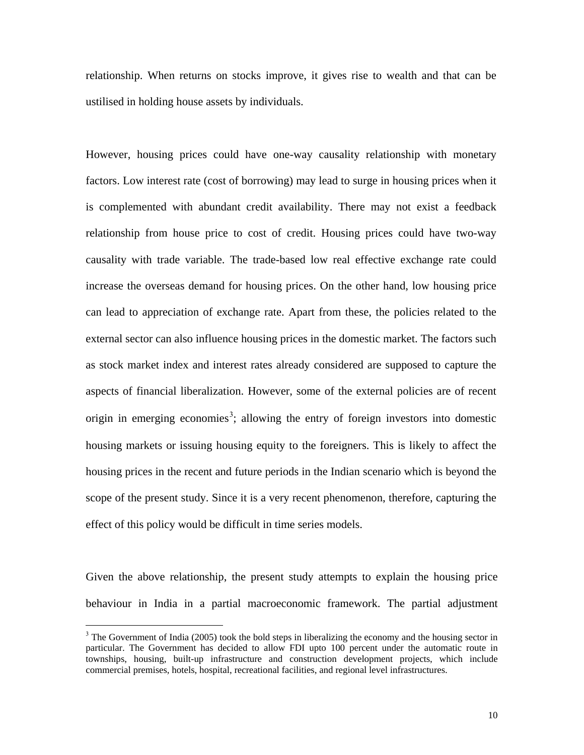relationship. When returns on stocks improve, it gives rise to wealth and that can be ustilised in holding house assets by individuals.

However, housing prices could have one-way causality relationship with monetary factors. Low interest rate (cost of borrowing) may lead to surge in housing prices when it is complemented with abundant credit availability. There may not exist a feedback relationship from house price to cost of credit. Housing prices could have two-way causality with trade variable. The trade-based low real effective exchange rate could increase the overseas demand for housing prices. On the other hand, low housing price can lead to appreciation of exchange rate. Apart from these, the policies related to the external sector can also influence housing prices in the domestic market. The factors such as stock market index and interest rates already considered are supposed to capture the aspects of financial liberalization. However, some of the external policies are of recent origin in emerging economies<sup>[3](#page-9-0)</sup>; allowing the entry of foreign investors into domestic housing markets or issuing housing equity to the foreigners. This is likely to affect the housing prices in the recent and future periods in the Indian scenario which is beyond the scope of the present study. Since it is a very recent phenomenon, therefore, capturing the effect of this policy would be difficult in time series models.

Given the above relationship, the present study attempts to explain the housing price behaviour in India in a partial macroeconomic framework. The partial adjustment

 $\overline{a}$ 

<span id="page-9-0"></span> $3$  The Government of India (2005) took the bold steps in liberalizing the economy and the housing sector in particular. The Government has decided to allow FDI upto 100 percent under the automatic route in townships, housing, built-up infrastructure and construction development projects, which include commercial premises, hotels, hospital, recreational facilities, and regional level infrastructures.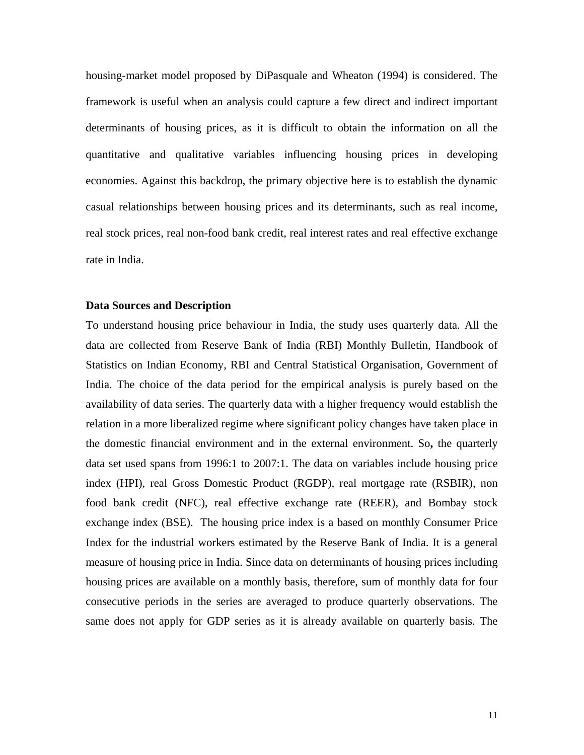housing-market model proposed by DiPasquale and Wheaton (1994) is considered. The framework is useful when an analysis could capture a few direct and indirect important determinants of housing prices, as it is difficult to obtain the information on all the quantitative and qualitative variables influencing housing prices in developing economies. Against this backdrop, the primary objective here is to establish the dynamic casual relationships between housing prices and its determinants, such as real income, real stock prices, real non-food bank credit, real interest rates and real effective exchange rate in India.

#### **Data Sources and Description**

To understand housing price behaviour in India, the study uses quarterly data. All the data are collected from Reserve Bank of India (RBI) Monthly Bulletin, Handbook of Statistics on Indian Economy, RBI and Central Statistical Organisation, Government of India. The choice of the data period for the empirical analysis is purely based on the availability of data series. The quarterly data with a higher frequency would establish the relation in a more liberalized regime where significant policy changes have taken place in the domestic financial environment and in the external environment. So**,** the quarterly data set used spans from 1996:1 to 2007:1. The data on variables include housing price index (HPI), real Gross Domestic Product (RGDP), real mortgage rate (RSBIR), non food bank credit (NFC), real effective exchange rate (REER), and Bombay stock exchange index (BSE). The housing price index is a based on monthly Consumer Price Index for the industrial workers estimated by the Reserve Bank of India. It is a general measure of housing price in India. Since data on determinants of housing prices including housing prices are available on a monthly basis, therefore, sum of monthly data for four consecutive periods in the series are averaged to produce quarterly observations. The same does not apply for GDP series as it is already available on quarterly basis. The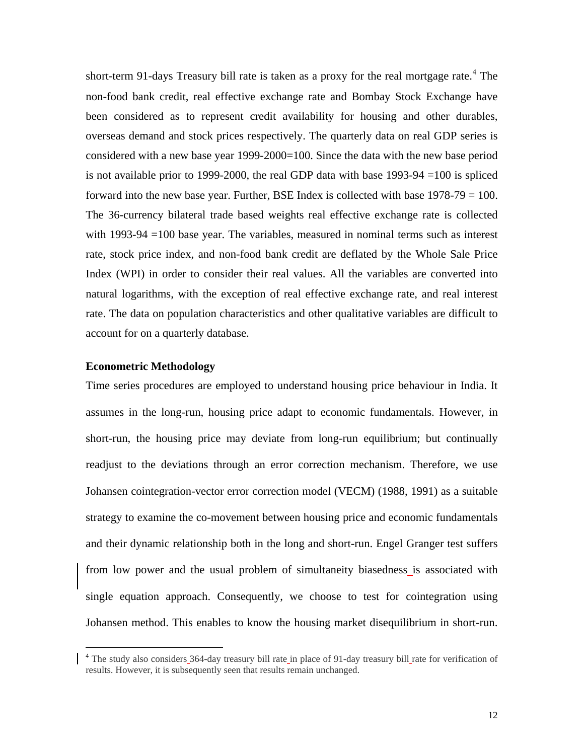short-term 91-days Treasury bill rate is taken as a proxy for the real mortgage rate.<sup>[4](#page-11-0)</sup> The non-food bank credit, real effective exchange rate and Bombay Stock Exchange have been considered as to represent credit availability for housing and other durables, overseas demand and stock prices respectively. The quarterly data on real GDP series is considered with a new base year 1999-2000=100. Since the data with the new base period is not available prior to 1999-2000, the real GDP data with base 1993-94 =100 is spliced forward into the new base year. Further, BSE Index is collected with base 1978-79 = 100. The 36-currency bilateral trade based weights real effective exchange rate is collected with 1993-94 =100 base year. The variables, measured in nominal terms such as interest rate, stock price index, and non-food bank credit are deflated by the Whole Sale Price Index (WPI) in order to consider their real values. All the variables are converted into natural logarithms, with the exception of real effective exchange rate, and real interest rate. The data on population characteristics and other qualitative variables are difficult to account for on a quarterly database.

## **Econometric Methodology**

 $\overline{a}$ 

Time series procedures are employed to understand housing price behaviour in India. It assumes in the long-run, housing price adapt to economic fundamentals. However, in short-run, the housing price may deviate from long-run equilibrium; but continually readjust to the deviations through an error correction mechanism. Therefore, we use Johansen cointegration-vector error correction model (VECM) (1988, 1991) as a suitable strategy to examine the co-movement between housing price and economic fundamentals and their dynamic relationship both in the long and short-run. Engel Granger test suffers from low power and the usual problem of simultaneity biasedness is associated with single equation approach. Consequently, we choose to test for cointegration using Johansen method. This enables to know the housing market disequilibrium in short-run.

<span id="page-11-0"></span><sup>&</sup>lt;sup>4</sup> The study also considers 364-day treasury bill rate in place of 91-day treasury bill rate for verification of results. However, it is subsequently seen that results remain unchanged.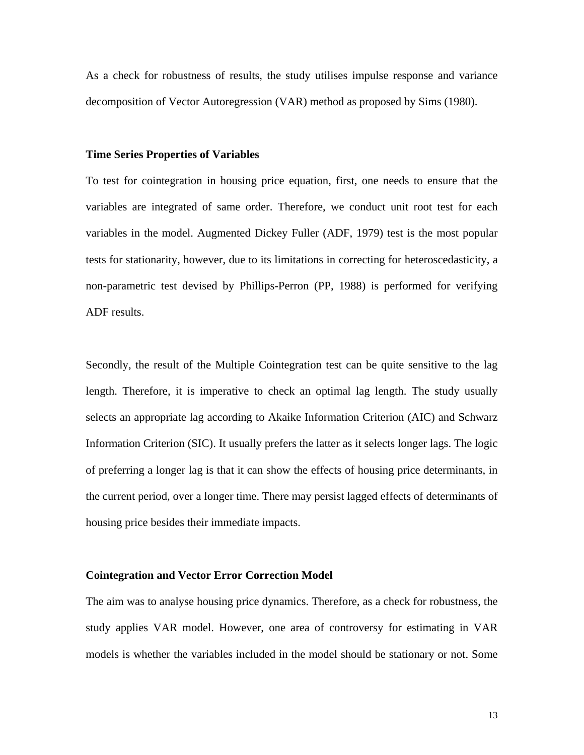As a check for robustness of results, the study utilises impulse response and variance decomposition of Vector Autoregression (VAR) method as proposed by Sims (1980).

#### **Time Series Properties of Variables**

To test for cointegration in housing price equation, first, one needs to ensure that the variables are integrated of same order. Therefore, we conduct unit root test for each variables in the model. Augmented Dickey Fuller (ADF, 1979) test is the most popular tests for stationarity, however, due to its limitations in correcting for heteroscedasticity, a non-parametric test devised by Phillips-Perron (PP, 1988) is performed for verifying ADF results.

Secondly, the result of the Multiple Cointegration test can be quite sensitive to the lag length. Therefore, it is imperative to check an optimal lag length. The study usually selects an appropriate lag according to Akaike Information Criterion (AIC) and Schwarz Information Criterion (SIC). It usually prefers the latter as it selects longer lags. The logic of preferring a longer lag is that it can show the effects of housing price determinants, in the current period, over a longer time. There may persist lagged effects of determinants of housing price besides their immediate impacts.

#### **Cointegration and Vector Error Correction Model**

The aim was to analyse housing price dynamics. Therefore, as a check for robustness, the study applies VAR model. However, one area of controversy for estimating in VAR models is whether the variables included in the model should be stationary or not. Some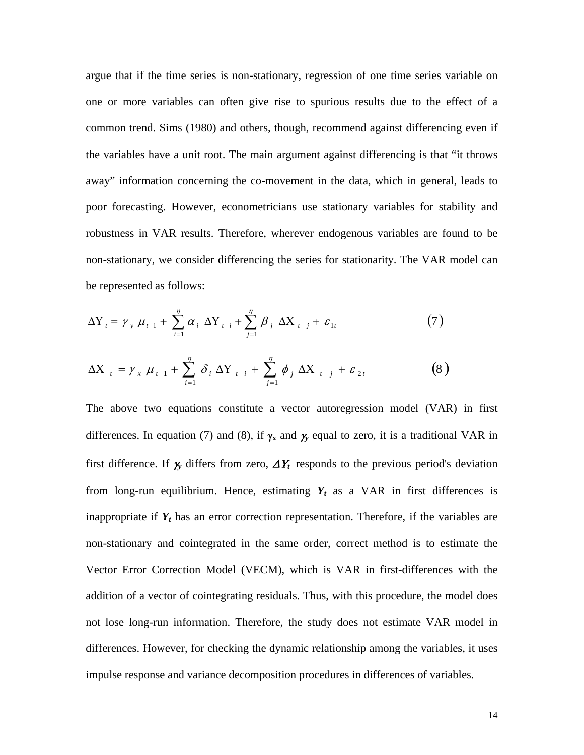argue that if the time series is non-stationary, regression of one time series variable on one or more variables can often give rise to spurious results due to the effect of a common trend. Sims (1980) and others, though, recommend against differencing even if the variables have a unit root. The main argument against differencing is that "it throws away" information concerning the co-movement in the data, which in general, leads to poor forecasting. However, econometricians use stationary variables for stability and robustness in VAR results. Therefore, wherever endogenous variables are found to be non-stationary, we consider differencing the series for stationarity. The VAR model can be represented as follows:

$$
\Delta Y_{t} = \gamma_{y} \mu_{t-1} + \sum_{i=1}^{n} \alpha_{i} \Delta Y_{t-i} + \sum_{j=1}^{n} \beta_{j} \Delta X_{t-j} + \varepsilon_{1t}
$$
(7)

$$
\Delta X_{t} = \gamma_{x} \mu_{t-1} + \sum_{i=1}^{\eta} \delta_{i} \Delta Y_{t-i} + \sum_{j=1}^{\eta} \phi_{j} \Delta X_{t-j} + \varepsilon_{2t}
$$
(8)

The above two equations constitute a vector autoregression model (VAR) in first differences. In equation (7) and (8), if  $\gamma_x$  and  $\gamma_y$  equal to zero, it is a traditional VAR in first difference. If  $\chi$  differs from zero,  $\Delta Y_t$  responds to the previous period's deviation from long-run equilibrium. Hence, estimating  $Y_t$  as a VAR in first differences is inappropriate if  $Y_t$  has an error correction representation. Therefore, if the variables are non-stationary and cointegrated in the same order, correct method is to estimate the Vector Error Correction Model (VECM), which is VAR in first-differences with the addition of a vector of cointegrating residuals. Thus, with this procedure, the model does not lose long-run information. Therefore, the study does not estimate VAR model in differences. However, for checking the dynamic relationship among the variables, it uses impulse response and variance decomposition procedures in differences of variables.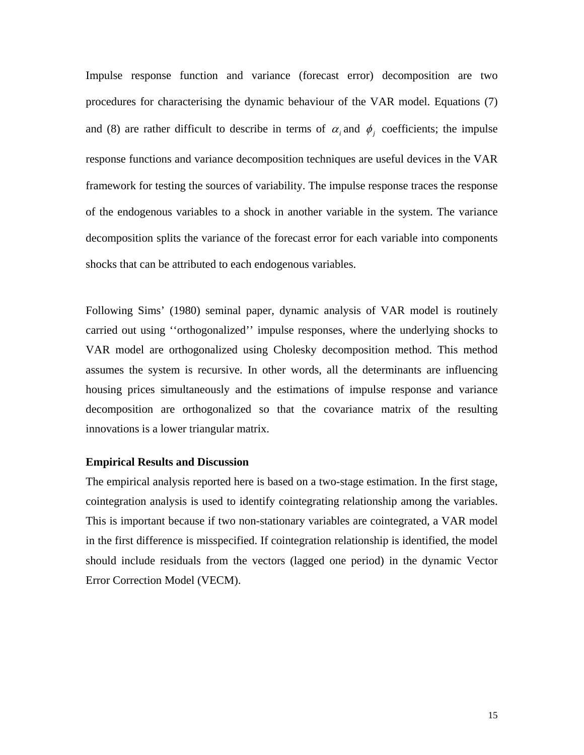Impulse response function and variance (forecast error) decomposition are two procedures for characterising the dynamic behaviour of the VAR model. Equations (7) and (8) are rather difficult to describe in terms of  $\alpha_i$  and  $\phi_j$  coefficients; the impulse response functions and variance decomposition techniques are useful devices in the VAR framework for testing the sources of variability. The impulse response traces the response of the endogenous variables to a shock in another variable in the system. The variance decomposition splits the variance of the forecast error for each variable into components shocks that can be attributed to each endogenous variables.

Following Sims' (1980) seminal paper, dynamic analysis of VAR model is routinely carried out using ''orthogonalized'' impulse responses, where the underlying shocks to VAR model are orthogonalized using Cholesky decomposition method. This method assumes the system is recursive. In other words, all the determinants are influencing housing prices simultaneously and the estimations of impulse response and variance decomposition are orthogonalized so that the covariance matrix of the resulting innovations is a lower triangular matrix.

#### **Empirical Results and Discussion**

The empirical analysis reported here is based on a two-stage estimation. In the first stage, cointegration analysis is used to identify cointegrating relationship among the variables. This is important because if two non-stationary variables are cointegrated, a VAR model in the first difference is misspecified. If cointegration relationship is identified, the model should include residuals from the vectors (lagged one period) in the dynamic Vector Error Correction Model (VECM).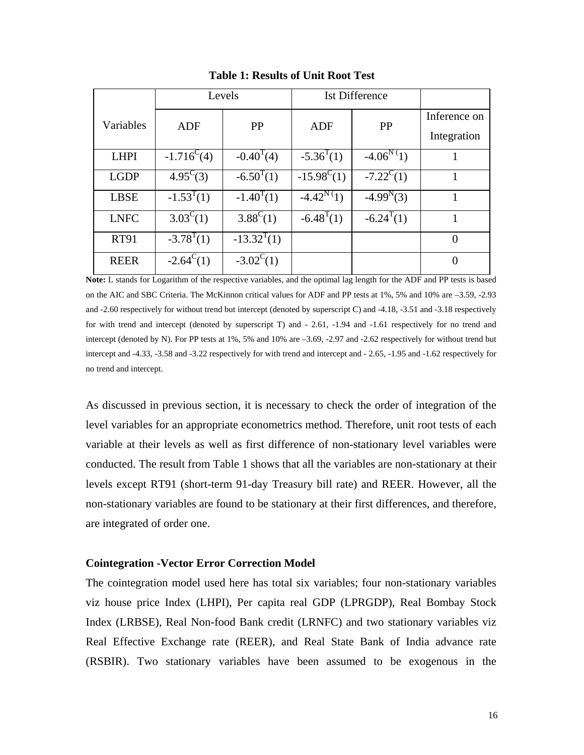|             |                     | Levels              | <b>Ist Difference</b> |                         |                             |
|-------------|---------------------|---------------------|-----------------------|-------------------------|-----------------------------|
| Variables   | <b>ADF</b>          | PP                  | <b>ADF</b>            | PP                      | Inference on<br>Integration |
| <b>LHPI</b> | $-1.716^{\circ}(4)$ | $-0.40^{T}(4)$      | $-5.36^{T}(1)$        | $-4.06^{\rm N}{}^{(1)}$ |                             |
| <b>LGDP</b> | $4.95^{\circ}$ (3)  | $-6.50^{T}(1)$      | $-15.98^{\circ}(1)$   | $-7.22^{\rm C}(1)$      |                             |
| <b>LBSE</b> | $-1.53^{T}(1)$      | $-1.40^{T}(1)$      | $-4.42^N(1)$          | $-4.99^{N}(3)$          | 1                           |
| <b>LNFC</b> | $3.03^{\circ}$ (1)  | $3.88^{\circ}$ (1)  | $-6.48^{T}(1)$        | $-6.24^{T}(1)$          | 1                           |
| <b>RT91</b> | $-3.78^{T}(1)$      | $-13.32^{T}(1)$     |                       |                         | $\theta$                    |
| <b>REER</b> | $-2.64^{\circ}(1)$  | $-3.02^{\circ}$ (1) |                       |                         | 0                           |

**Table 1: Results of Unit Root Test**

**Note:** L stands for Logarithm of the respective variables, and the optimal lag length for the ADF and PP tests is based on the AIC and SBC Criteria. The McKinnon critical values for ADF and PP tests at 1%, 5% and 10% are –3.59, -2.93 and -2.60 respectively for without trend but intercept (denoted by superscript C) and -4.18, -3.51 and -3.18 respectively for with trend and intercept (denoted by superscript T) and - 2.61, -1.94 and -1.61 respectively for no trend and intercept (denoted by N). For PP tests at 1%, 5% and 10% are –3.69, -2.97 and -2.62 respectively for without trend but intercept and -4.33, -3.58 and -3.22 respectively for with trend and intercept and - 2.65, -1.95 and -1.62 respectively for no trend and intercept.

As discussed in previous section, it is necessary to check the order of integration of the level variables for an appropriate econometrics method. Therefore, unit root tests of each variable at their levels as well as first difference of non-stationary level variables were conducted. The result from Table 1 shows that all the variables are non-stationary at their levels except RT91 (short-term 91-day Treasury bill rate) and REER. However, all the non-stationary variables are found to be stationary at their first differences, and therefore, are integrated of order one.

## **Cointegration -Vector Error Correction Model**

The cointegration model used here has total six variables; four non-stationary variables viz house price Index (LHPI), Per capita real GDP (LPRGDP), Real Bombay Stock Index (LRBSE), Real Non-food Bank credit (LRNFC) and two stationary variables viz Real Effective Exchange rate (REER), and Real State Bank of India advance rate (RSBIR). Two stationary variables have been assumed to be exogenous in the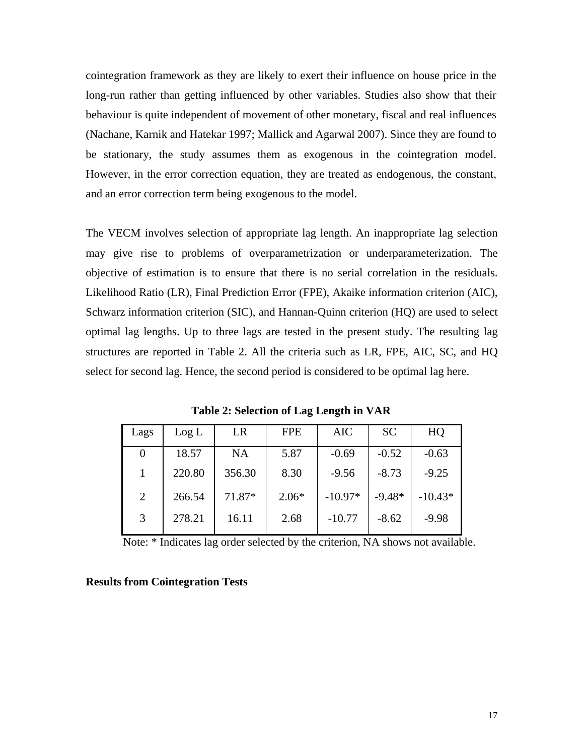cointegration framework as they are likely to exert their influence on house price in the long-run rather than getting influenced by other variables. Studies also show that their behaviour is quite independent of movement of other monetary, fiscal and real influences (Nachane, Karnik and Hatekar 1997; Mallick and Agarwal 2007). Since they are found to be stationary, the study assumes them as exogenous in the cointegration model. However, in the error correction equation, they are treated as endogenous, the constant, and an error correction term being exogenous to the model.

The VECM involves selection of appropriate lag length. An inappropriate lag selection may give rise to problems of overparametrization or underparameterization. The objective of estimation is to ensure that there is no serial correlation in the residuals. Likelihood Ratio (LR), Final Prediction Error (FPE), Akaike information criterion (AIC), Schwarz information criterion (SIC), and Hannan-Quinn criterion (HQ) are used to select optimal lag lengths. Up to three lags are tested in the present study. The resulting lag structures are reported in Table 2. All the criteria such as LR, FPE, AIC, SC, and HQ select for second lag. Hence, the second period is considered to be optimal lag here.

| Lags | Log L  | LR     | <b>FPE</b> | <b>AIC</b> | <b>SC</b> | HQ        |
|------|--------|--------|------------|------------|-----------|-----------|
| 0    | 18.57  | NA     | 5.87       | $-0.69$    | $-0.52$   | $-0.63$   |
|      | 220.80 | 356.30 | 8.30       | $-9.56$    | $-8.73$   | $-9.25$   |
| 2    | 266.54 | 71.87* | $2.06*$    | $-10.97*$  | $-9.48*$  | $-10.43*$ |
| 3    | 278.21 | 16.11  | 2.68       | $-10.77$   | $-8.62$   | $-9.98$   |

**Table 2: Selection of Lag Length in VAR** 

Note: \* Indicates lag order selected by the criterion, NA shows not available.

#### **Results from Cointegration Tests**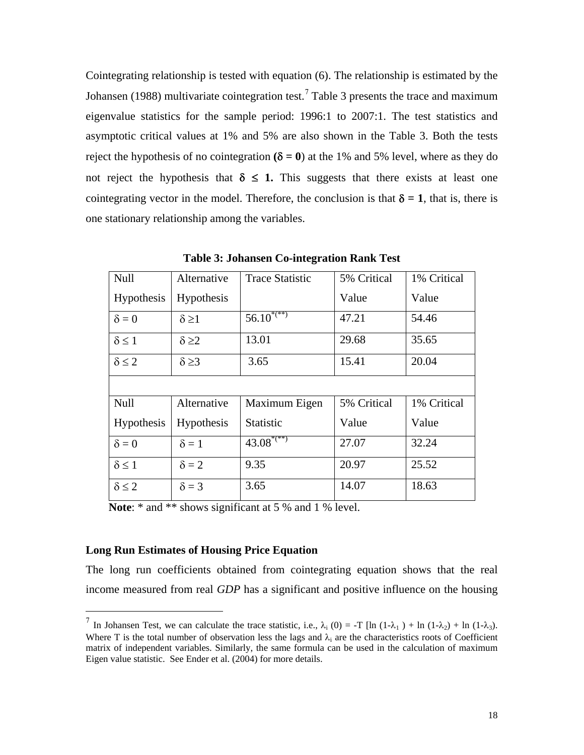Cointegrating relationship is tested with equation (6). The relationship is estimated by the Johansen (1988) multivariate cointegration test.<sup>[7](#page-17-0)</sup> Table 3 presents the trace and maximum eigenvalue statistics for the sample period: 1996:1 to 2007:1. The test statistics and asymptotic critical values at 1% and 5% are also shown in the Table 3. Both the tests reject the hypothesis of no cointegration  $(\delta = 0)$  at the 1% and 5% level, where as they do not reject the hypothesis that  $\delta \leq 1$ . This suggests that there exists at least one cointegrating vector in the model. Therefore, the conclusion is that  $\delta = 1$ , that is, there is one stationary relationship among the variables.

| Null              | Alternative       | <b>Trace Statistic</b>   | 5% Critical | 1% Critical |
|-------------------|-------------------|--------------------------|-------------|-------------|
| Hypothesis        | Hypothesis        |                          | Value       | Value       |
| $\delta = 0$      | $\delta \geq 1$   | $56.10^{*(**)}$          | 47.21       | 54.46       |
| $\delta \leq 1$   | $\delta \geq 2$   | 13.01                    | 29.68       | 35.65       |
| $\delta \leq 2$   | $\delta \geq 3$   | 3.65                     | 15.41       | 20.04       |
|                   |                   |                          |             |             |
| Null              | Alternative       | Maximum Eigen            | 5% Critical | 1% Critical |
| <b>Hypothesis</b> | <b>Hypothesis</b> | Statistic                | Value       | Value       |
| $\delta = 0$      | $\delta = 1$      | $43.08$ <sup>*(**)</sup> | 27.07       | 32.24       |
| $\delta \leq 1$   | $\delta = 2$      | 9.35                     | 20.97       | 25.52       |
| $\delta \leq 2$   | $\delta = 3$      | 3.65                     | 14.07       | 18.63       |

**Table 3: Johansen Co-integration Rank Test** 

**Note:** \* and \*\* shows significant at 5 % and 1 % level.

# **Long Run Estimates of Housing Price Equation**

1

The long run coefficients obtained from cointegrating equation shows that the real income measured from real *GDP* has a significant and positive influence on the housing

<span id="page-17-0"></span><sup>&</sup>lt;sup>7</sup> In Johansen Test, we can calculate the trace statistic, i.e.,  $\lambda_i$  (0) = -T [ln (1- $\lambda_1$ ) + ln (1- $\lambda_2$ ) + ln (1- $\lambda_3$ ). Where T is the total number of observation less the lags and  $\lambda_i$  are the characteristics roots of Coefficient matrix of independent variables. Similarly, the same formula can be used in the calculation of maximum Eigen value statistic. See Ender et al. (2004) for more details.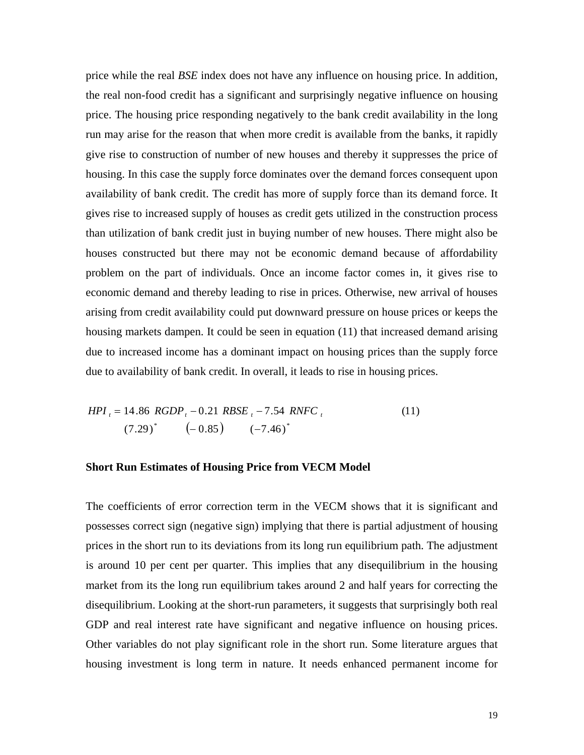price while the real *BSE* index does not have any influence on housing price. In addition, the real non-food credit has a significant and surprisingly negative influence on housing price. The housing price responding negatively to the bank credit availability in the long run may arise for the reason that when more credit is available from the banks, it rapidly give rise to construction of number of new houses and thereby it suppresses the price of housing. In this case the supply force dominates over the demand forces consequent upon availability of bank credit. The credit has more of supply force than its demand force. It gives rise to increased supply of houses as credit gets utilized in the construction process than utilization of bank credit just in buying number of new houses. There might also be houses constructed but there may not be economic demand because of affordability problem on the part of individuals. Once an income factor comes in, it gives rise to economic demand and thereby leading to rise in prices. Otherwise, new arrival of houses arising from credit availability could put downward pressure on house prices or keeps the housing markets dampen. It could be seen in equation (11) that increased demand arising due to increased income has a dominant impact on housing prices than the supply force due to availability of bank credit. In overall, it leads to rise in housing prices.

$$
HPI_{i} = 14.86 \ RGDP_{i} - 0.21 \ RBSE_{i} - 7.54 \ RNFC_{i}
$$
\n
$$
(7.29)^{*} \qquad (-0.85) \qquad (-7.46)^{*} \qquad (11)
$$

# **Short Run Estimates of Housing Price from VECM Model**

The coefficients of error correction term in the VECM shows that it is significant and possesses correct sign (negative sign) implying that there is partial adjustment of housing prices in the short run to its deviations from its long run equilibrium path. The adjustment is around 10 per cent per quarter. This implies that any disequilibrium in the housing market from its the long run equilibrium takes around 2 and half years for correcting the disequilibrium. Looking at the short-run parameters, it suggests that surprisingly both real GDP and real interest rate have significant and negative influence on housing prices. Other variables do not play significant role in the short run. Some literature argues that housing investment is long term in nature. It needs enhanced permanent income for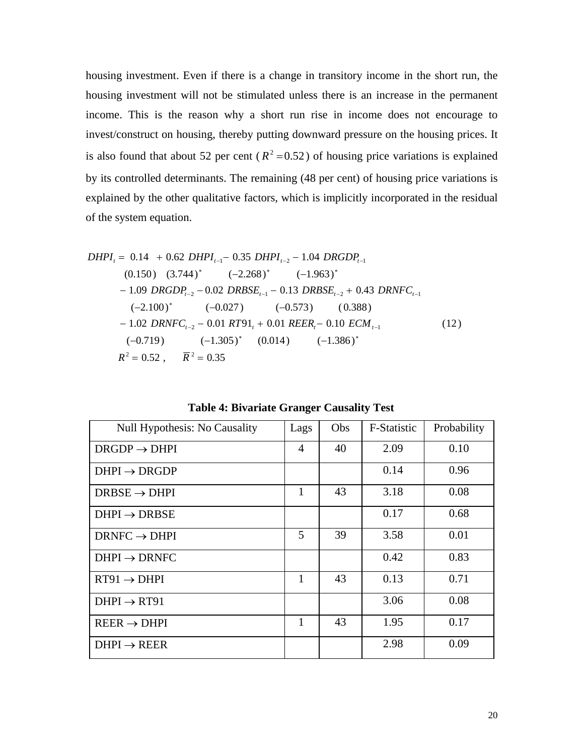housing investment. Even if there is a change in transitory income in the short run, the housing investment will not be stimulated unless there is an increase in the permanent income. This is the reason why a short run rise in income does not encourage to invest/construct on housing, thereby putting downward pressure on the housing prices. It is also found that about 52 per cent ( $R^2 = 0.52$ ) of housing price variations is explained by its controlled determinants. The remaining (48 per cent) of housing price variations is explained by the other qualitative factors, which is implicitly incorporated in the residual of the system equation.

$$
DHPI_{t} = 0.14 + 0.62 \quad DHPI_{t-1} - 0.35 \quad DHPI_{t-2} - 1.04 \quad DRGDP_{t-1}
$$
\n
$$
(0.150) \quad (3.744)^{*} \quad (-2.268)^{*} \quad (-1.963)^{*}
$$
\n
$$
- 1.09 \quad DRGDP_{t-2} - 0.02 \quad DRBSE_{t-1} - 0.13 \quad DRBSE_{t-2} + 0.43 \quad DRNFC_{t-1}
$$
\n
$$
(-2.100)^{*} \quad (-0.027) \quad (-0.573) \quad (0.388)
$$
\n
$$
- 1.02 \quad DRNFC_{t-2} - 0.01 \quad RT91_{t} + 0.01 \quad REER_{t} - 0.10 \quad ECM_{t-1}
$$
\n
$$
(-0.719) \quad (-1.305)^{*} \quad (0.014) \quad (-1.386)^{*} \quad R^{2} = 0.52 \ , \quad \overline{R}^{2} = 0.35 \tag{12}
$$

| Null Hypothesis: No Causality | Lags | Obs | F-Statistic | Probability |
|-------------------------------|------|-----|-------------|-------------|
| $DRGDP \rightarrow DHPI$      | 4    | 40  | 2.09        | 0.10        |
| $DHPI \rightarrow DRGDP$      |      |     | 0.14        | 0.96        |
| $DRBSE \rightarrow DHPI$      | 1    | 43  | 3.18        | 0.08        |
| $DHPI \rightarrow DRBSE$      |      |     | 0.17        | 0.68        |
| $DRNFC \rightarrow DHPI$      | 5    | 39  | 3.58        | 0.01        |
| $DHPI \rightarrow DRNFC$      |      |     | 0.42        | 0.83        |
| $RT91 \rightarrow DHPI$       | 1    | 43  | 0.13        | 0.71        |
| $DHPI \rightarrow RT91$       |      |     | 3.06        | 0.08        |
| $REER \rightarrow DHPI$       | 1    | 43  | 1.95        | 0.17        |
| $DHPI \rightarrow REER$       |      |     | 2.98        | 0.09        |

**Table 4: Bivariate Granger Causality Test**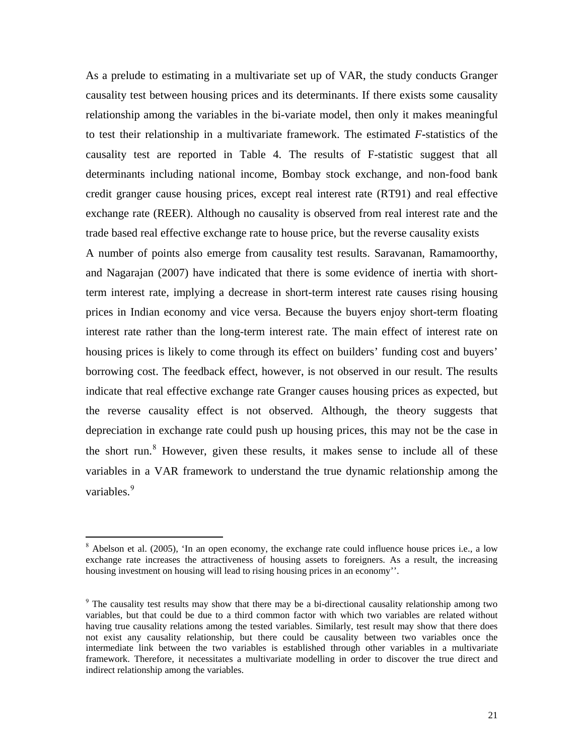As a prelude to estimating in a multivariate set up of VAR, the study conducts Granger causality test between housing prices and its determinants. If there exists some causality relationship among the variables in the bi-variate model, then only it makes meaningful to test their relationship in a multivariate framework. The estimated *F***-**statistics of the causality test are reported in Table 4. The results of F-statistic suggest that all determinants including national income, Bombay stock exchange, and non-food bank credit granger cause housing prices, except real interest rate (RT91) and real effective exchange rate (REER). Although no causality is observed from real interest rate and the trade based real effective exchange rate to house price, but the reverse causality exists A number of points also emerge from causality test results. Saravanan, Ramamoorthy, and Nagarajan (2007) have indicated that there is some evidence of inertia with shortterm interest rate, implying a decrease in short-term interest rate causes rising housing prices in Indian economy and vice versa. Because the buyers enjoy short-term floating interest rate rather than the long-term interest rate. The main effect of interest rate on housing prices is likely to come through its effect on builders' funding cost and buyers' borrowing cost. The feedback effect, however, is not observed in our result. The results indicate that real effective exchange rate Granger causes housing prices as expected, but the reverse causality effect is not observed. Although, the theory suggests that depreciation in exchange rate could push up housing prices, this may not be the case in the short run.<sup>[8](#page-20-0)</sup> However, given these results, it makes sense to include all of these variables in a VAR framework to understand the true dynamic relationship among the variables.<sup>[9](#page-20-1)</sup>

 $\overline{a}$ 

<span id="page-20-0"></span><sup>&</sup>lt;sup>8</sup> Abelson et al. (2005), 'In an open economy, the exchange rate could influence house prices i.e., a low exchange rate increases the attractiveness of housing assets to foreigners. As a result, the increasing housing investment on housing will lead to rising housing prices in an economy''.

<span id="page-20-1"></span><sup>&</sup>lt;sup>9</sup> The causality test results may show that there may be a bi-directional causality relationship among two variables, but that could be due to a third common factor with which two variables are related without having true causality relations among the tested variables. Similarly, test result may show that there does not exist any causality relationship, but there could be causality between two variables once the intermediate link between the two variables is established through other variables in a multivariate framework. Therefore, it necessitates a multivariate modelling in order to discover the true direct and indirect relationship among the variables.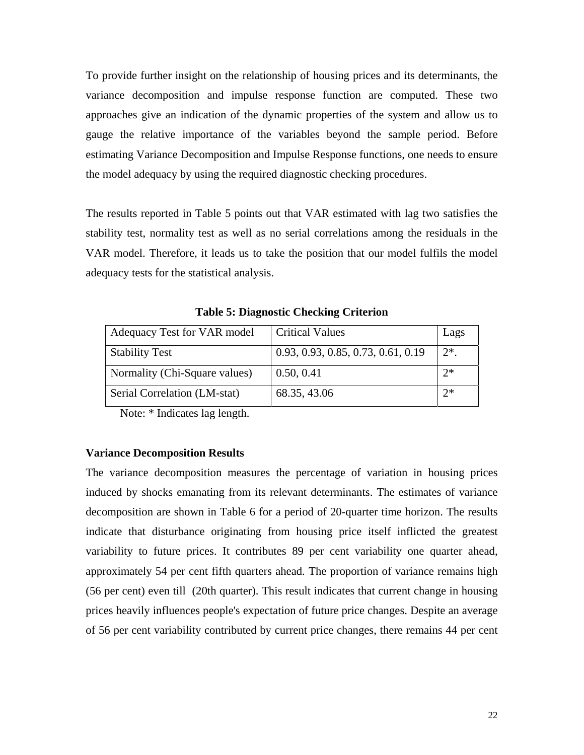To provide further insight on the relationship of housing prices and its determinants, the variance decomposition and impulse response function are computed. These two approaches give an indication of the dynamic properties of the system and allow us to gauge the relative importance of the variables beyond the sample period. Before estimating Variance Decomposition and Impulse Response functions, one needs to ensure the model adequacy by using the required diagnostic checking procedures.

The results reported in Table 5 points out that VAR estimated with lag two satisfies the stability test, normality test as well as no serial correlations among the residuals in the VAR model. Therefore, it leads us to take the position that our model fulfils the model adequacy tests for the statistical analysis.

| Adequacy Test for VAR model   | <b>Critical Values</b>             | Lags    |
|-------------------------------|------------------------------------|---------|
| <b>Stability Test</b>         | 0.93, 0.93, 0.85, 0.73, 0.61, 0.19 | $2^*$ . |
| Normality (Chi-Square values) | 0.50, 0.41                         | $2*$    |
| Serial Correlation (LM-stat)  | 68.35, 43.06                       | $2*$    |

**Table 5: Diagnostic Checking Criterion** 

Note: \* Indicates lag length.

## **Variance Decomposition Results**

The variance decomposition measures the percentage of variation in housing prices induced by shocks emanating from its relevant determinants. The estimates of variance decomposition are shown in Table 6 for a period of 20-quarter time horizon. The results indicate that disturbance originating from housing price itself inflicted the greatest variability to future prices. It contributes 89 per cent variability one quarter ahead, approximately 54 per cent fifth quarters ahead. The proportion of variance remains high (56 per cent) even till (20th quarter). This result indicates that current change in housing prices heavily influences people's expectation of future price changes. Despite an average of 56 per cent variability contributed by current price changes, there remains 44 per cent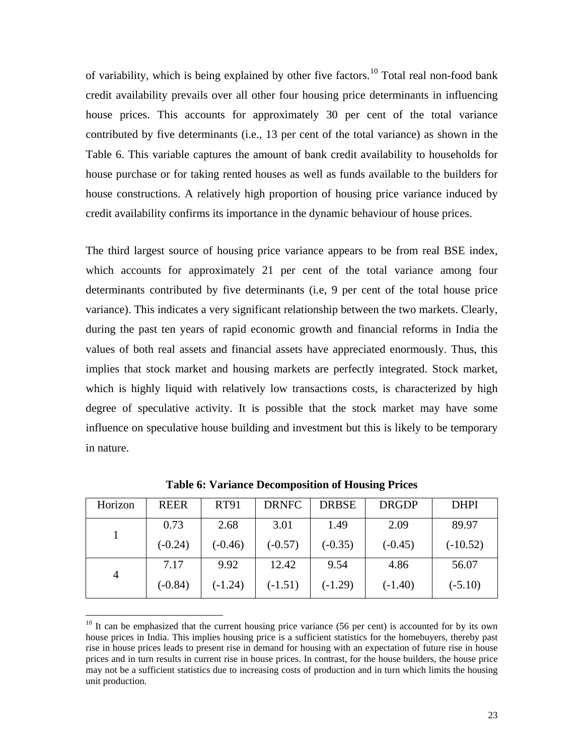of variability, which is being explained by other five factors.<sup>[10](#page-22-0)</sup> Total real non-food bank credit availability prevails over all other four housing price determinants in influencing house prices. This accounts for approximately 30 per cent of the total variance contributed by five determinants (i.e., 13 per cent of the total variance) as shown in the Table 6. This variable captures the amount of bank credit availability to households for house purchase or for taking rented houses as well as funds available to the builders for house constructions. A relatively high proportion of housing price variance induced by credit availability confirms its importance in the dynamic behaviour of house prices.

The third largest source of housing price variance appears to be from real BSE index, which accounts for approximately 21 per cent of the total variance among four determinants contributed by five determinants (i.e, 9 per cent of the total house price variance). This indicates a very significant relationship between the two markets. Clearly, during the past ten years of rapid economic growth and financial reforms in India the values of both real assets and financial assets have appreciated enormously. Thus, this implies that stock market and housing markets are perfectly integrated. Stock market, which is highly liquid with relatively low transactions costs, is characterized by high degree of speculative activity. It is possible that the stock market may have some influence on speculative house building and investment but this is likely to be temporary in nature.

| Horizon        | <b>REER</b> | <b>RT91</b> | <b>DRNFC</b> | <b>DRBSE</b> | <b>DRGDP</b> | <b>DHPI</b> |
|----------------|-------------|-------------|--------------|--------------|--------------|-------------|
|                | 0.73        | 2.68        | 3.01         | 1.49         | 2.09         | 89.97       |
|                | $(-0.24)$   | $(-0.46)$   | $(-0.57)$    | $(-0.35)$    | $(-0.45)$    | $(-10.52)$  |
| $\overline{4}$ | 7.17        | 9.92        | 12.42        | 9.54         | 4.86         | 56.07       |
|                | $(-0.84)$   | $(-1.24)$   | $(-1.51)$    | $(-1.29)$    | $(-1.40)$    | $(-5.10)$   |

**Table 6: Variance Decomposition of Housing Prices** 

 $\overline{a}$ 

<span id="page-22-0"></span> $10$  It can be emphasized that the current housing price variance (56 per cent) is accounted for by its own house prices in India. This implies housing price is a sufficient statistics for the homebuyers, thereby past rise in house prices leads to present rise in demand for housing with an expectation of future rise in house prices and in turn results in current rise in house prices. In contrast, for the house builders, the house price may not be a sufficient statistics due to increasing costs of production and in turn which limits the housing unit production.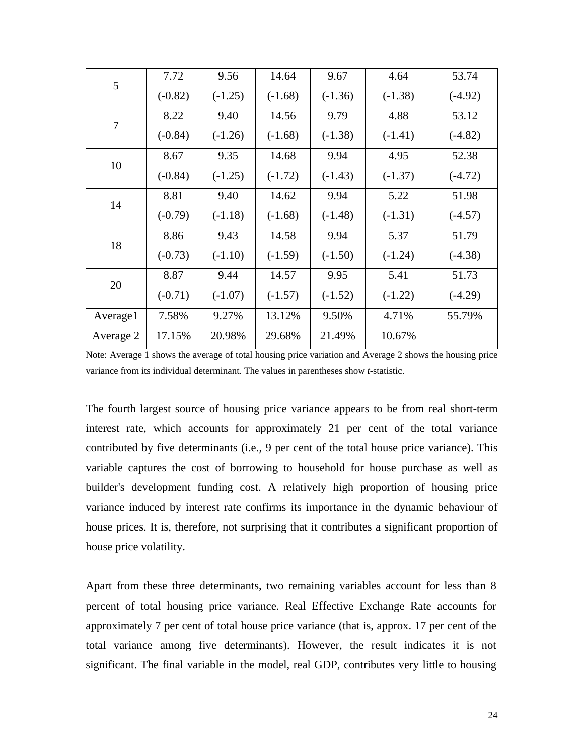| 5         | 7.72      | 9.56      | 14.64     | 9.67      | 4.64      | 53.74     |
|-----------|-----------|-----------|-----------|-----------|-----------|-----------|
|           | $(-0.82)$ | $(-1.25)$ | $(-1.68)$ | $(-1.36)$ | $(-1.38)$ | $(-4.92)$ |
| $\tau$    | 8.22      | 9.40      | 14.56     | 9.79      | 4.88      | 53.12     |
|           | $(-0.84)$ | $(-1.26)$ | $(-1.68)$ | $(-1.38)$ | $(-1.41)$ | $(-4.82)$ |
| 10        | 8.67      | 9.35      | 14.68     | 9.94      | 4.95      | 52.38     |
|           | $(-0.84)$ | $(-1.25)$ | $(-1.72)$ | $(-1.43)$ | $(-1.37)$ | $(-4.72)$ |
| 14        | 8.81      | 9.40      | 14.62     | 9.94      | 5.22      | 51.98     |
|           | $(-0.79)$ | $(-1.18)$ | $(-1.68)$ | $(-1.48)$ | $(-1.31)$ | $(-4.57)$ |
| 18        | 8.86      | 9.43      | 14.58     | 9.94      | 5.37      | 51.79     |
|           | $(-0.73)$ | $(-1.10)$ | $(-1.59)$ | $(-1.50)$ | $(-1.24)$ | $(-4.38)$ |
| 20        | 8.87      | 9.44      | 14.57     | 9.95      | 5.41      | 51.73     |
|           | $(-0.71)$ | $(-1.07)$ | $(-1.57)$ | $(-1.52)$ | $(-1.22)$ | $(-4.29)$ |
| Average1  | 7.58%     | 9.27%     | 13.12%    | 9.50%     | 4.71%     | 55.79%    |
| Average 2 | 17.15%    | 20.98%    | 29.68%    | 21.49%    | 10.67%    |           |
|           |           |           |           |           |           |           |

Note: Average 1 shows the average of total housing price variation and Average 2 shows the housing price variance from its individual determinant. The values in parentheses show *t-*statistic.

The fourth largest source of housing price variance appears to be from real short-term interest rate, which accounts for approximately 21 per cent of the total variance contributed by five determinants (i.e., 9 per cent of the total house price variance). This variable captures the cost of borrowing to household for house purchase as well as builder's development funding cost. A relatively high proportion of housing price variance induced by interest rate confirms its importance in the dynamic behaviour of house prices. It is, therefore, not surprising that it contributes a significant proportion of house price volatility.

Apart from these three determinants, two remaining variables account for less than 8 percent of total housing price variance. Real Effective Exchange Rate accounts for approximately 7 per cent of total house price variance (that is, approx. 17 per cent of the total variance among five determinants). However, the result indicates it is not significant. The final variable in the model, real GDP, contributes very little to housing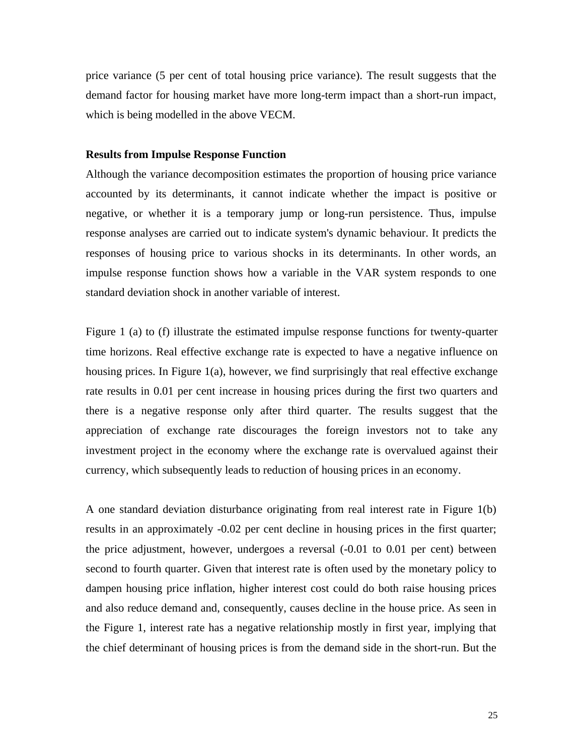price variance (5 per cent of total housing price variance). The result suggests that the demand factor for housing market have more long-term impact than a short-run impact, which is being modelled in the above VECM.

#### **Results from Impulse Response Function**

Although the variance decomposition estimates the proportion of housing price variance accounted by its determinants, it cannot indicate whether the impact is positive or negative, or whether it is a temporary jump or long-run persistence. Thus, impulse response analyses are carried out to indicate system's dynamic behaviour. It predicts the responses of housing price to various shocks in its determinants. In other words, an impulse response function shows how a variable in the VAR system responds to one standard deviation shock in another variable of interest.

Figure 1 (a) to (f) illustrate the estimated impulse response functions for twenty-quarter time horizons. Real effective exchange rate is expected to have a negative influence on housing prices. In Figure 1(a), however, we find surprisingly that real effective exchange rate results in 0.01 per cent increase in housing prices during the first two quarters and there is a negative response only after third quarter. The results suggest that the appreciation of exchange rate discourages the foreign investors not to take any investment project in the economy where the exchange rate is overvalued against their currency, which subsequently leads to reduction of housing prices in an economy.

A one standard deviation disturbance originating from real interest rate in Figure 1(b) results in an approximately -0.02 per cent decline in housing prices in the first quarter; the price adjustment, however, undergoes a reversal (-0.01 to 0.01 per cent) between second to fourth quarter. Given that interest rate is often used by the monetary policy to dampen housing price inflation, higher interest cost could do both raise housing prices and also reduce demand and, consequently, causes decline in the house price. As seen in the Figure 1, interest rate has a negative relationship mostly in first year, implying that the chief determinant of housing prices is from the demand side in the short-run. But the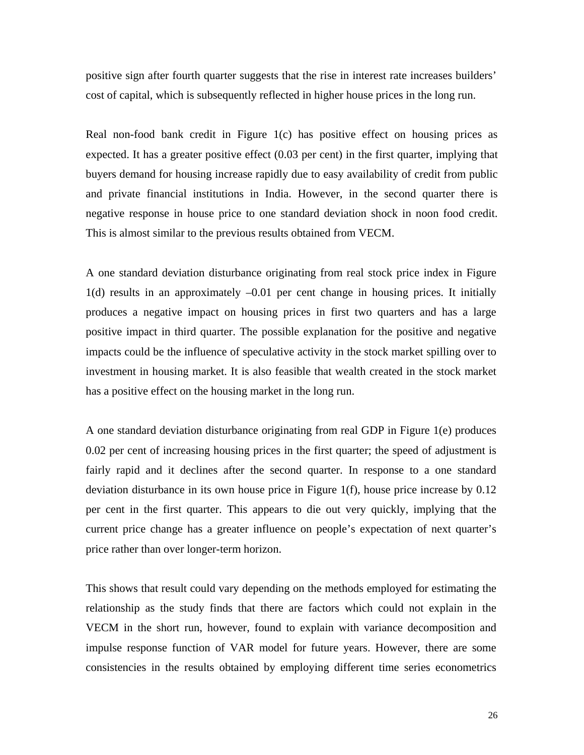positive sign after fourth quarter suggests that the rise in interest rate increases builders' cost of capital, which is subsequently reflected in higher house prices in the long run.

Real non-food bank credit in Figure 1(c) has positive effect on housing prices as expected. It has a greater positive effect (0.03 per cent) in the first quarter, implying that buyers demand for housing increase rapidly due to easy availability of credit from public and private financial institutions in India. However, in the second quarter there is negative response in house price to one standard deviation shock in noon food credit. This is almost similar to the previous results obtained from VECM.

A one standard deviation disturbance originating from real stock price index in Figure 1(d) results in an approximately –0.01 per cent change in housing prices. It initially produces a negative impact on housing prices in first two quarters and has a large positive impact in third quarter. The possible explanation for the positive and negative impacts could be the influence of speculative activity in the stock market spilling over to investment in housing market. It is also feasible that wealth created in the stock market has a positive effect on the housing market in the long run.

A one standard deviation disturbance originating from real GDP in Figure 1(e) produces 0.02 per cent of increasing housing prices in the first quarter; the speed of adjustment is fairly rapid and it declines after the second quarter. In response to a one standard deviation disturbance in its own house price in Figure 1(f), house price increase by 0.12 per cent in the first quarter. This appears to die out very quickly, implying that the current price change has a greater influence on people's expectation of next quarter's price rather than over longer-term horizon.

This shows that result could vary depending on the methods employed for estimating the relationship as the study finds that there are factors which could not explain in the VECM in the short run, however, found to explain with variance decomposition and impulse response function of VAR model for future years. However, there are some consistencies in the results obtained by employing different time series econometrics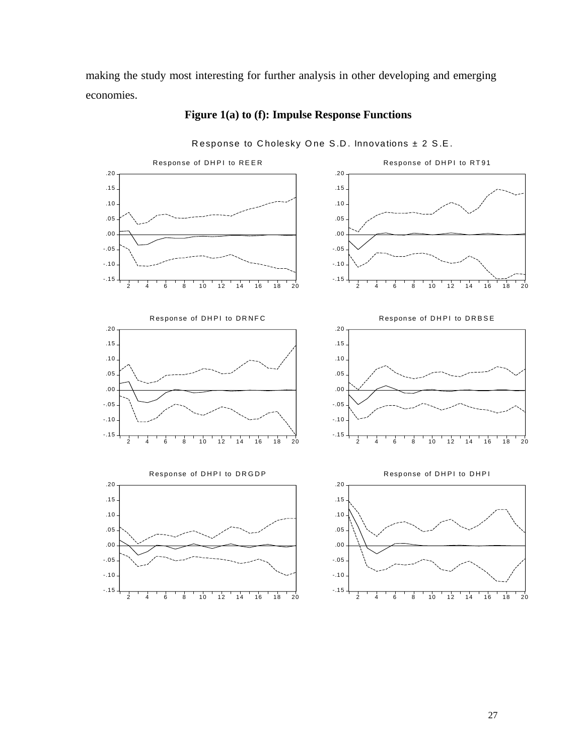making the study most interesting for further analysis in other developing and emerging economies.



# **Figure 1(a) to (f): Impulse Response Functions**

Response to Cholesky One S.D. Innovations  $\pm$  2 S.E.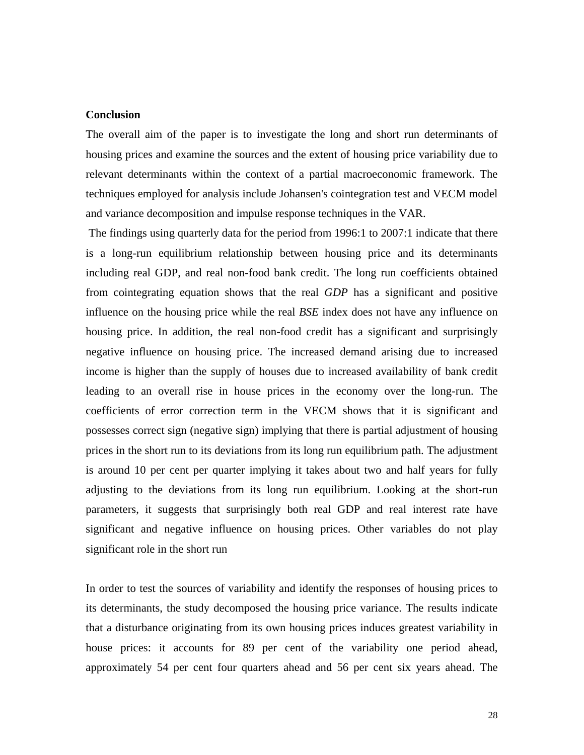## **Conclusion**

The overall aim of the paper is to investigate the long and short run determinants of housing prices and examine the sources and the extent of housing price variability due to relevant determinants within the context of a partial macroeconomic framework. The techniques employed for analysis include Johansen's cointegration test and VECM model and variance decomposition and impulse response techniques in the VAR.

 The findings using quarterly data for the period from 1996:1 to 2007:1 indicate that there is a long-run equilibrium relationship between housing price and its determinants including real GDP, and real non-food bank credit. The long run coefficients obtained from cointegrating equation shows that the real *GDP* has a significant and positive influence on the housing price while the real *BSE* index does not have any influence on housing price. In addition, the real non-food credit has a significant and surprisingly negative influence on housing price. The increased demand arising due to increased income is higher than the supply of houses due to increased availability of bank credit leading to an overall rise in house prices in the economy over the long-run. The coefficients of error correction term in the VECM shows that it is significant and possesses correct sign (negative sign) implying that there is partial adjustment of housing prices in the short run to its deviations from its long run equilibrium path. The adjustment is around 10 per cent per quarter implying it takes about two and half years for fully adjusting to the deviations from its long run equilibrium. Looking at the short-run parameters, it suggests that surprisingly both real GDP and real interest rate have significant and negative influence on housing prices. Other variables do not play significant role in the short run

In order to test the sources of variability and identify the responses of housing prices to its determinants, the study decomposed the housing price variance. The results indicate that a disturbance originating from its own housing prices induces greatest variability in house prices: it accounts for 89 per cent of the variability one period ahead, approximately 54 per cent four quarters ahead and 56 per cent six years ahead. The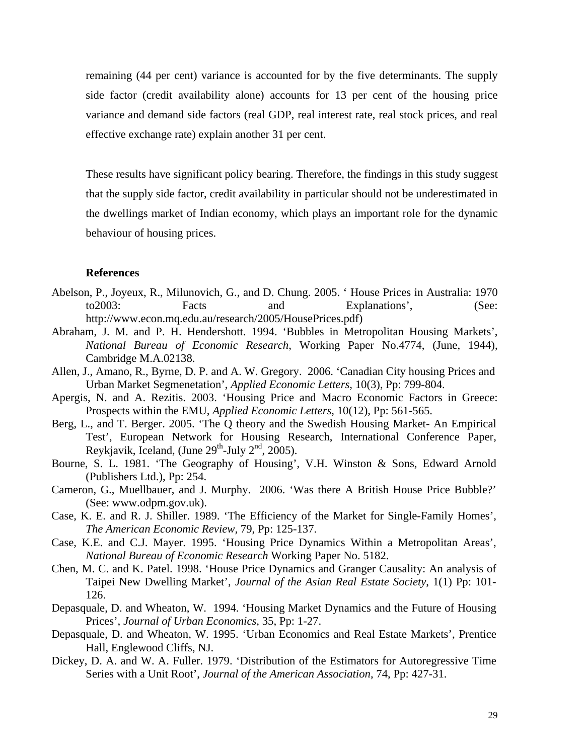remaining (44 per cent) variance is accounted for by the five determinants. The supply side factor (credit availability alone) accounts for 13 per cent of the housing price variance and demand side factors (real GDP, real interest rate, real stock prices, and real effective exchange rate) explain another 31 per cent.

These results have significant policy bearing. Therefore, the findings in this study suggest that the supply side factor, credit availability in particular should not be underestimated in the dwellings market of Indian economy, which plays an important role for the dynamic behaviour of housing prices.

## **References**

- Abelson, P., Joyeux, R., Milunovich, G., and D. Chung. 2005. ' House Prices in Australia: 1970 to2003: Facts and Explanations', (See: http://www.econ.mq.edu.au/research/2005/HousePrices.pdf)
- Abraham, J. M. and P. H. Hendershott. 1994. 'Bubbles in Metropolitan Housing Markets', *National Bureau of Economic Research*, Working Paper No.4774, (June, 1944), Cambridge M.A.02138.
- Allen, J., Amano, R., Byrne, D. P. and A. W. Gregory. 2006. 'Canadian City housing Prices and Urban Market Segmenetation', *Applied Economic Letters*, 10(3), Pp: 799-804.
- Apergis, N. and A. Rezitis. 2003. 'Housing Price and Macro Economic Factors in Greece: Prospects within the EMU, *Applied Economic Letters*, 10(12), Pp: 561-565.
- Berg, L., and T. Berger. 2005. 'The Q theory and the Swedish Housing Market- An Empirical Test', European Network for Housing Research, International Conference Paper, Reykjavik, Iceland, (June  $29^{th}$ -July  $2^{nd}$ , 2005).
- Bourne, S. L. 1981. 'The Geography of Housing', V.H. Winston & Sons, Edward Arnold (Publishers Ltd.), Pp: 254.
- Cameron, G., Muellbauer, and J. Murphy. 2006. 'Was there A British House Price Bubble?' (See: www.odpm.gov.uk).
- Case, K. E. and R. J. Shiller. 1989. 'The Efficiency of the Market for Single-Family Homes', *The American Economic Review,* 79, Pp: 125-137.
- Case, K.E. and C.J. Mayer. 1995. 'Housing Price Dynamics Within a Metropolitan Areas', *National Bureau of Economic Research* Working Paper No. 5182.
- Chen, M. C. and K. Patel. 1998. 'House Price Dynamics and Granger Causality: An analysis of Taipei New Dwelling Market', *Journal of the Asian Real Estate Society*, 1(1) Pp: 101- 126.
- Depasquale, D. and Wheaton, W. 1994. 'Housing Market Dynamics and the Future of Housing Prices', *Journal of Urban Economics*, 35, Pp: 1-27.
- Depasquale, D. and Wheaton, W. 1995. 'Urban Economics and Real Estate Markets', Prentice Hall, Englewood Cliffs, NJ.
- Dickey, D. A. and W. A. Fuller. 1979. 'Distribution of the Estimators for Autoregressive Time Series with a Unit Root', *Journal of the American Association*, 74, Pp: 427-31.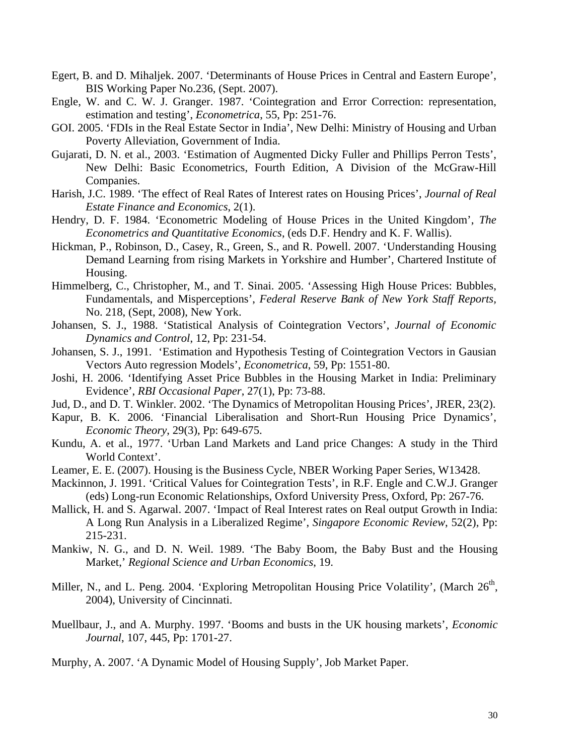- Egert, B. and D. Mihaljek. 2007. 'Determinants of House Prices in Central and Eastern Europe', BIS Working Paper No.236, (Sept. 2007).
- Engle, W. and C. W. J. Granger. 1987. 'Cointegration and Error Correction: representation, estimation and testing', *Econometrica*, 55, Pp: 251-76.
- GOI. 2005. 'FDIs in the Real Estate Sector in India', New Delhi: Ministry of Housing and Urban Poverty Alleviation, Government of India.
- Gujarati, D. N. et al., 2003. 'Estimation of Augmented Dicky Fuller and Phillips Perron Tests', New Delhi: Basic Econometrics, Fourth Edition, A Division of the McGraw-Hill Companies.
- Harish, J.C. 1989. 'The effect of Real Rates of Interest rates on Housing Prices', *Journal of Real Estate Finance and Economics*, 2(1).
- Hendry, D. F. 1984. 'Econometric Modeling of House Prices in the United Kingdom', *The Econometrics and Quantitative Economics*, (eds D.F. Hendry and K. F. Wallis).
- Hickman, P., Robinson, D., Casey, R., Green, S., and R. Powell. 2007. 'Understanding Housing Demand Learning from rising Markets in Yorkshire and Humber', Chartered Institute of Housing.
- Himmelberg, C., Christopher, M., and T. Sinai. 2005. 'Assessing High House Prices: Bubbles, Fundamentals, and Misperceptions', *Federal Reserve Bank of New York Staff Reports,* No. 218, (Sept, 2008), New York.
- Johansen, S. J., 1988. 'Statistical Analysis of Cointegration Vectors', *Journal of Economic Dynamics and Control*, 12, Pp: 231-54.
- Johansen, S. J., 1991. 'Estimation and Hypothesis Testing of Cointegration Vectors in Gausian Vectors Auto regression Models', *Econometrica*, 59, Pp: 1551-80.
- Joshi, H. 2006. 'Identifying Asset Price Bubbles in the Housing Market in India: Preliminary Evidence', *RBI Occasional Paper*, 27(1), Pp: 73-88.
- Jud, D., and D. T. Winkler. 2002. 'The Dynamics of Metropolitan Housing Prices', JRER, 23(2).
- Kapur, B. K. 2006. 'Financial Liberalisation and Short-Run Housing Price Dynamics', *Economic Theory*, 29(3), Pp: 649-675.
- Kundu, A. et al., 1977. 'Urban Land Markets and Land price Changes: A study in the Third World Context'.
- Leamer, E. E. (2007). Housing is the Business Cycle, NBER Working Paper Series, W13428.
- Mackinnon, J. 1991. 'Critical Values for Cointegration Tests', in R.F. Engle and C.W.J. Granger (eds) Long-run Economic Relationships, Oxford University Press, Oxford, Pp: 267-76.
- Mallick, H. and S. Agarwal. 2007. 'Impact of Real Interest rates on Real output Growth in India: A Long Run Analysis in a Liberalized Regime', *Singapore Economic Review*, 52(2), Pp: 215-231.
- Mankiw, N. G., and D. N. Weil. 1989. 'The Baby Boom, the Baby Bust and the Housing Market,' *Regional Science and Urban Economics*, 19.
- Miller, N., and L. Peng. 2004. 'Exploring Metropolitan Housing Price Volatility', (March 26<sup>th</sup>, 2004), University of Cincinnati.
- Muellbaur, J., and A. Murphy. 1997. 'Booms and busts in the UK housing markets', *Economic Journal*, 107, 445, Pp: 1701-27.
- Murphy, A. 2007. 'A Dynamic Model of Housing Supply', Job Market Paper.